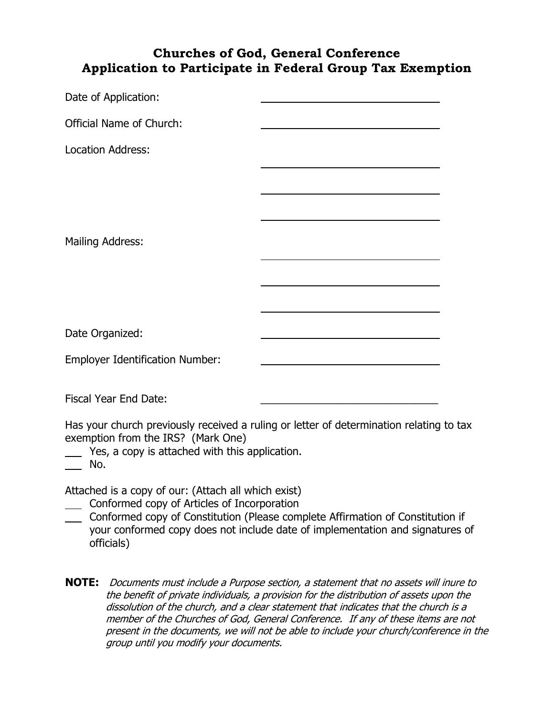## **Churches of God, General Conference Application to Participate in Federal Group Tax Exemption**

| Date of Application:                   |  |
|----------------------------------------|--|
| <b>Official Name of Church:</b>        |  |
| <b>Location Address:</b>               |  |
|                                        |  |
|                                        |  |
| <b>Mailing Address:</b>                |  |
|                                        |  |
|                                        |  |
| Date Organized:                        |  |
| <b>Employer Identification Number:</b> |  |
|                                        |  |

Fiscal Year End Date:

Has your church previously received a ruling or letter of determination relating to tax exemption from the IRS? (Mark One)

Yes, a copy is attached with this application.

No.

Attached is a copy of our: (Attach all which exist)

- Conformed copy of Articles of Incorporation
- Conformed copy of Constitution (Please complete Affirmation of Constitution if your conformed copy does not include date of implementation and signatures of officials)
- **NOTE:** Documents must include a Purpose section, a statement that no assets will inure to the benefit of private individuals, a provision for the distribution of assets upon the dissolution of the church, and a clear statement that indicates that the church is a member of the Churches of God, General Conference. If any of these items are not present in the documents, we will not be able to include your church/conference in the group until you modify your documents.